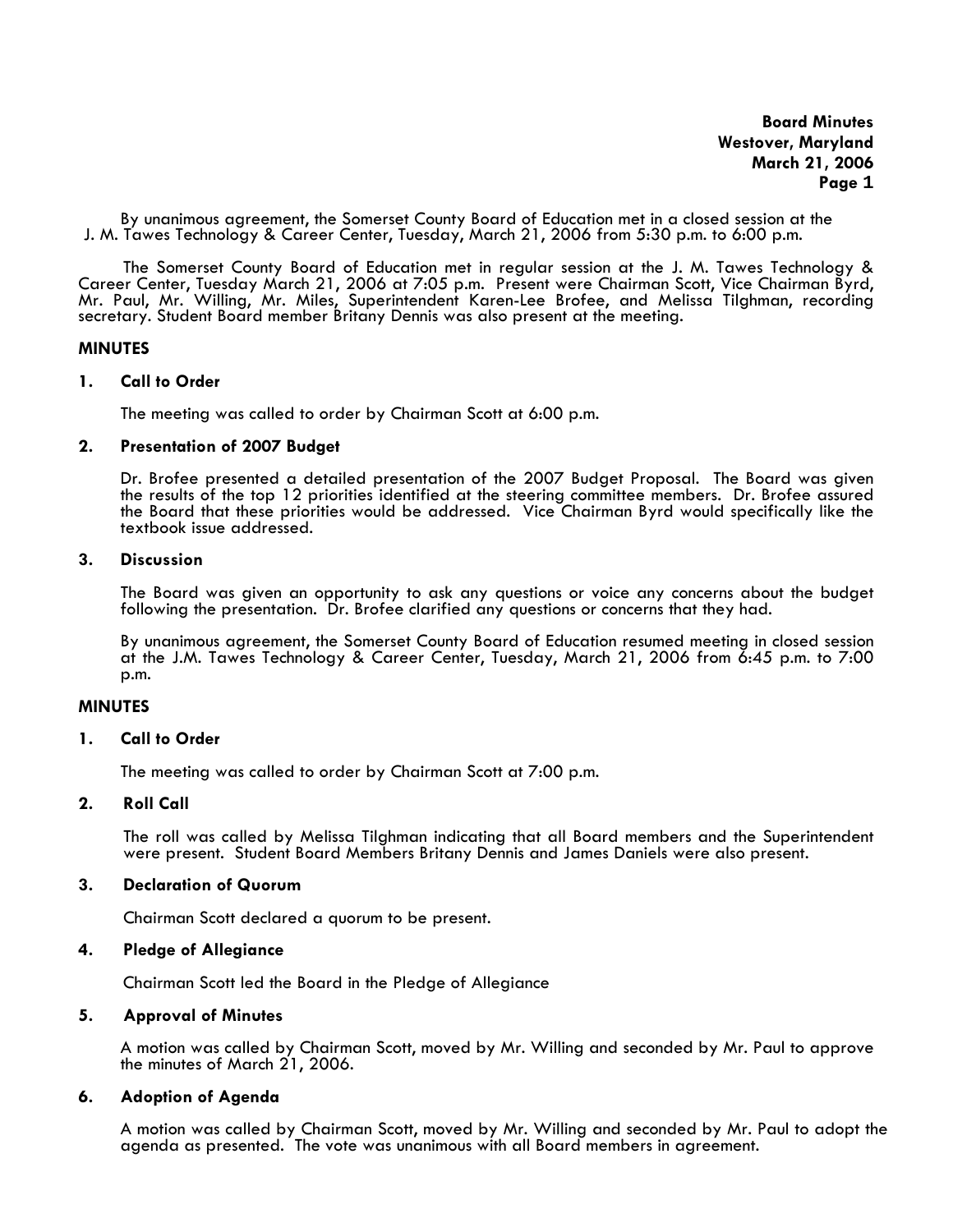**Board Minutes Westover, Maryland March 21, 2006 Page 1** 

By unanimous agreement, the Somerset County Board of Education met in a closed session at the J. M. Tawes Technology & Career Center, Tuesday, March 21, 2006 from 5:30 p.m. to 6:00 p.m.

The Somerset County Board of Education met in regular session at the J. M. Tawes Technology & Career Center, Tuesday March 21, 2006 at 7:05 p.m. Present were Chairman Scott, Vice Chairman Byrd, Mr. Paul, Mr. Willing, Mr. Miles, Superintendent Karen-Lee Brofee, and Melissa Tilghman, recording secretary. Student Board member Britany Dennis was also present at the meeting.

### **MINUTES**

### **1. Call to Order**

The meeting was called to order by Chairman Scott at 6:00 p.m.

# **2. Presentation of 2007 Budget**

Dr. Brofee presented a detailed presentation of the 2007 Budget Proposal. The Board was given the results of the top 12 priorities identified at the steering committee members. Dr. Brofee assured the Board that these priorities would be addressed. Vice Chairman Byrd would specifically like the textbook issue addressed.

### **3. Discussion**

The Board was given an opportunity to ask any questions or voice any concerns about the budget following the presentation. Dr. Brofee clarified any questions or concerns that they had.

By unanimous agreement, the Somerset County Board of Education resumed meeting in closed session at the J.M. Tawes Technology & Career Center, Tuesday, March 21, 2006 from 6:45 p.m. to 7:00 p.m.

## **MINUTES**

## **1. Call to Order**

The meeting was called to order by Chairman Scott at 7:00 p.m.

# **2. Roll Call**

The roll was called by Melissa Tilghman indicating that all Board members and the Superintendent were present. Student Board Members Britany Dennis and James Daniels were also present.

## **3. Declaration of Quorum**

Chairman Scott declared a quorum to be present.

# **4. Pledge of Allegiance**

Chairman Scott led the Board in the Pledge of Allegiance

## **5. Approval of Minutes**

 A motion was called by Chairman Scott, moved by Mr. Willing and seconded by Mr. Paul to approve the minutes of March 21, 2006.

## **6. Adoption of Agenda**

A motion was called by Chairman Scott, moved by Mr. Willing and seconded by Mr. Paul to adopt the agenda as presented. The vote was unanimous with all Board members in agreement.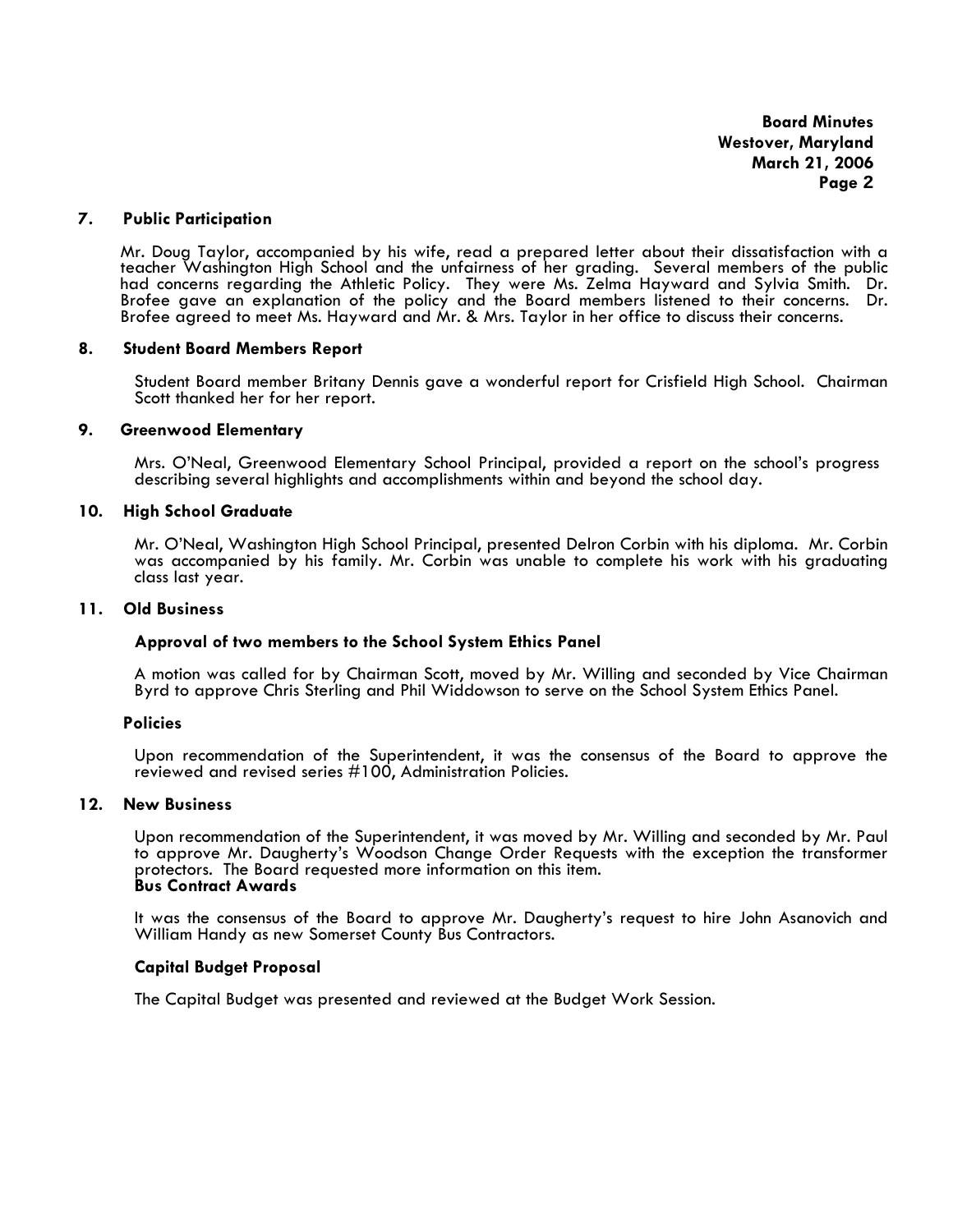**Board Minutes Westover, Maryland March 21, 2006 Page 2**

#### **7. Public Participation**

Mr. Doug Taylor, accompanied by his wife, read a prepared letter about their dissatisfaction with a teacher Washington High School and the unfairness of her grading. Several members of the public had concerns regarding the Athletic Policy. They were Ms. Zelma Hayward and Sylvia Smith. Dr. Brofee gave an explanation of the policy and the Board members listened to their concerns. Dr. Brofee agreed to meet Ms. Hayward and Mr. & Mrs. Taylor in her office to discuss their concerns.

### **8. Student Board Members Report**

 Student Board member Britany Dennis gave a wonderful report for Crisfield High School. Chairman Scott thanked her for her report.

### **9. Greenwood Elementary**

Mrs. O'Neal, Greenwood Elementary School Principal, provided a report on the school's progress describing several highlights and accomplishments within and beyond the school day.

### **10. High School Graduate**

Mr. O'Neal, Washington High School Principal, presented Delron Corbin with his diploma. Mr. Corbin was accompanied by his family. Mr. Corbin was unable to complete his work with his graduating class last year.

#### **11. Old Business**

## **Approval of two members to the School System Ethics Panel**

A motion was called for by Chairman Scott, moved by Mr. Willing and seconded by Vice Chairman Byrd to approve Chris Sterling and Phil Widdowson to serve on the School System Ethics Panel.

#### **Policies**

Upon recommendation of the Superintendent, it was the consensus of the Board to approve the reviewed and revised series #100, Administration Policies.

#### **12. New Business**

Upon recommendation of the Superintendent, it was moved by Mr. Willing and seconded by Mr. Paul to approve Mr. Daugherty's Woodson Change Order Requests with the exception the transformer protectors. The Board requested more information on this item. **Bus Contract Awards**

It was the consensus of the Board to approve Mr. Daugherty's request to hire John Asanovich and William Handy as new Somerset County Bus Contractors.

## **Capital Budget Proposal**

The Capital Budget was presented and reviewed at the Budget Work Session.